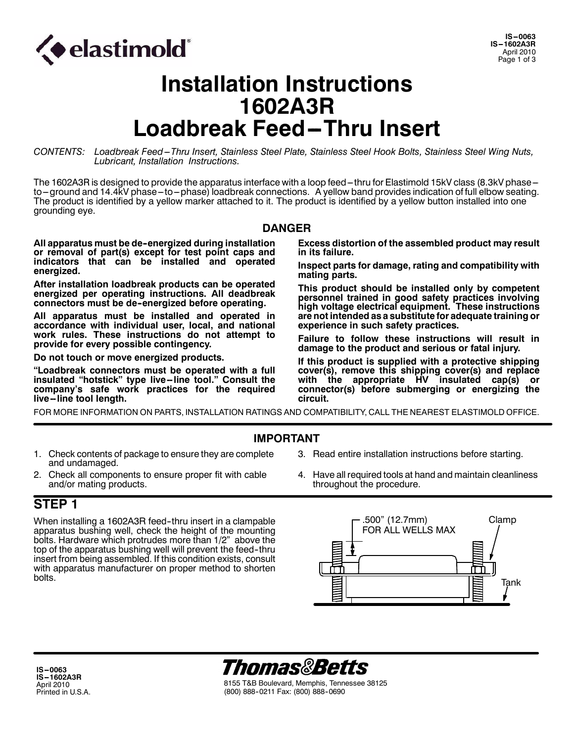

# **Installation Instructions 1602A3R Loadbreak Feed-Thru Insert**

*CONTENTS: Loadbreak Feed---Thru Insert, Stainless Steel Plate, Stainless Steel Hook Bolts, Stainless Steel Wing Nuts, Lubricant, Installation Instructions.*

The 1602A3R is designed to provide the apparatus interface with a loop feed-thru for Elastimold 15kV class (8.3kV phaseto-ground and 14.4kV phase-to-phase) loadbreak connections. A yellow band provides indication of full elbow seating. The product is identified by a yellow marker attached to it. The product is identified by a yellow button installed into one grounding eye.

#### **DANGER**

**All apparatus must be de--energized during installation or removal of part(s) except for test point caps and indicators that can be installed and operated energized.**

**After installation loadbreak products can be operated energized per operating instructions. All deadbreak connectors must be de--energized before operating.**

**All apparatus must be installed and operated in accordance with individual user, local, and national work rules. These instructions do not attempt to provide for every possible contingency.**

**Do not touch or move energized products.**

**"Loadbreak connectors must be operated with a full insulated "hotstick" type live--line tool." Consult the company's safe work practices for the required live--line tool length.**

**Excess distortion of the assembled product may result in its failure.**

**Inspect parts for damage, rating and compatibility with mating parts.**

**This product should be installed only by competent personnel trained in good safety practices involving high voltage electrical equipment. These instructions are not intended as a substitute for adequate training or experience in such safety practices.**

**Failure to follow these instructions will result in damage to the product and serious or fatal injury.**

**If this product is supplied with a protective shipping cover(s), remove this shipping cover(s) and replace with the appropriate HV insulated cap(s) or connector(s) before submerging or energizing the circuit.**

FOR MORE INFORMATION ON PARTS, INSTALLATION RATINGS AND COMPATIBILITY, CALL THE NEAREST ELASTIMOLD OFFICE.

#### **IMPORTANT**

- 1. Check contents of package to ensure they are complete and undamaged.
- 2. Check all components to ensure proper fit with cable and/or mating products.

#### **STEP 1**

When installing a 1602A3R feed-thru insert in a clampable apparatus bushing well, check the height of the mounting bolts. Hardware which protrudes more than 1/2" above the top of the apparatus bushing well will prevent the feed-thru insert from being assembled. If this condition exists, consult with apparatus manufacturer on proper method to shorten bolts.

- 3. Read entire installation instructions before starting.
- 4. Have all required tools at hand and maintain cleanliness throughout the procedure.





8155 T&B Boulevard, Memphis, Tennessee 38125 (800) 888--0211 Fax: (800) 888--0690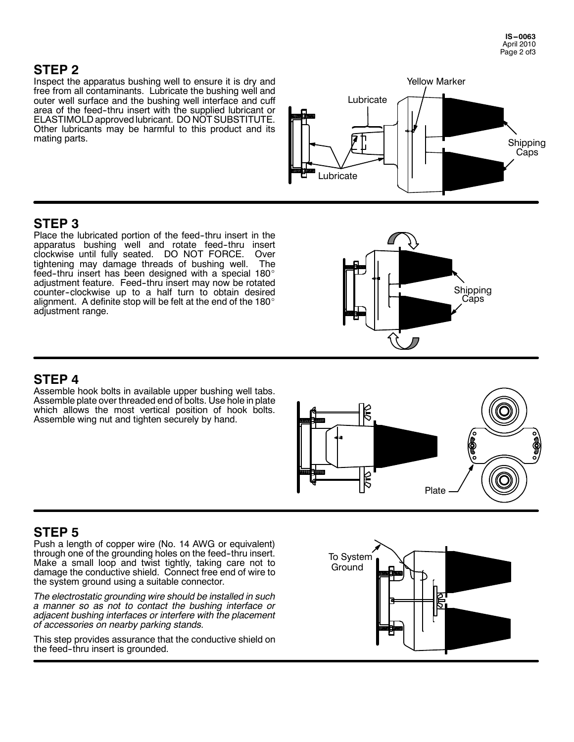## **STEP 2**

Inspect the apparatus bushing well to ensure it is dry and free from all contaminants. Lubricate the bushing well and outer well surface and the bushing well interface and cuff area of the feed--thru insert with the supplied lubricant or ELASTIMOLD approved lubricant. DO NOT SUBSTITUTE. Other lubricants may be harmful to this product and its mating parts.



## **STEP 3**

Place the lubricated portion of the feed-thru insert in the apparatus bushing well and rotate feed-thru insert clockwise until fully seated. DO NOT FORCE. Over tightening may damage threads of bushing well. The feed-thru insert has been designed with a special 180 $^\circ$ adjustment feature. Feed-thru insert may now be rotated counter--clockwise up to a half turn to obtain desired alignment. A definite stop will be felt at the end of the 180 $^\circ$ adjustment range.



## **STEP 4**

Assemble hook bolts in available upper bushing well tabs. Assemble plate over threaded end of bolts. Use hole in plate which allows the most vertical position of hook bolts. Assemble wing nut and tighten securely by hand.



## **STEP 5**

Push a length of copper wire (No. 14 AWG or equivalent) through one of the grounding holes on the feed--thru insert. Make a small loop and twist tightly, taking care not to damage the conductive shield. Connect free end of wire to the system ground using a suitable connector.

*The electrostatic grounding wire should be installed in such a manner so as not to contact the bushing interface or adjacent bushing interfaces or interfere with the placement of accessories on nearby parking stands.*

This step provides assurance that the conductive shield on the feed--thru insert is grounded.